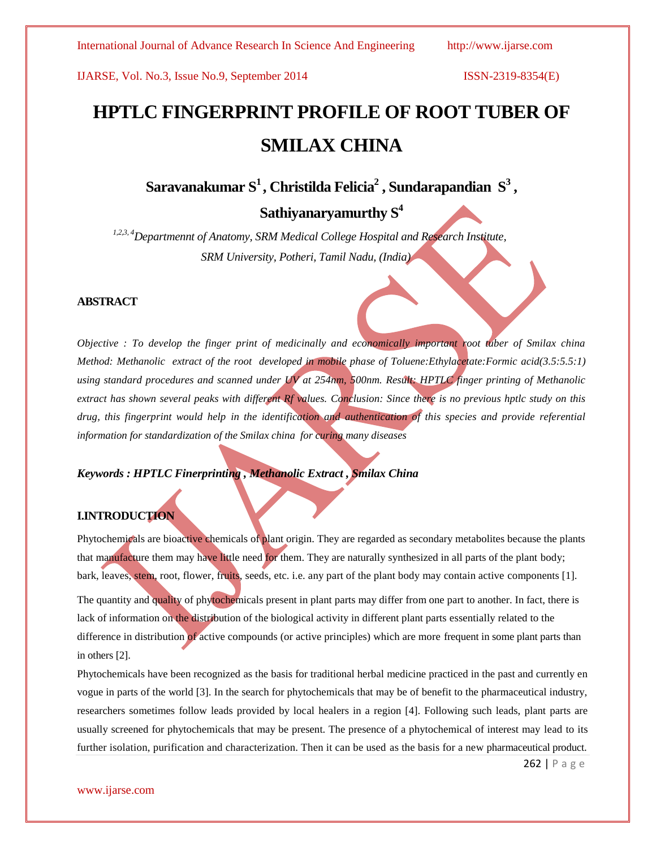# **HPTLC FINGERPRINT PROFILE OF ROOT TUBER OF SMILAX CHINA**

**Saravanakumar S<sup>1</sup> , Christilda Felicia<sup>2</sup> , Sundarapandian S<sup>3</sup> ,** 

# **Sathiyanaryamurthy S<sup>4</sup>**

*1,2,3, 4Departmennt of Anatomy, SRM Medical College Hospital and Research Institute, SRM University, Potheri, Tamil Nadu, (India)*

### **ABSTRACT**

*Objective : To develop the finger print of medicinally and economically important root tuber of Smilax china Method: Methanolic extract of the root developed in mobile phase of Toluene:Ethylacetate:Formic acid(3.5:5.5:1) using standard procedures and scanned under UV at 254nm, 500nm. Result: HPTLC finger printing of Methanolic extract has shown several peaks with different Rf values. Conclusion: Since there is no previous hptlc study on this drug, this fingerprint would help in the identification and authentication of this species and provide referential information for standardization of the Smilax china for curing many diseases*

### *Keywords : HPTLC Finerprinting , Methanolic Extract , Smilax China*

### **I.INTRODUCTION**

Phytochemicals are bioactive chemicals of plant origin. They are regarded as secondary metabolites because the plants that manufacture them may have little need for them. They are naturally synthesized in all parts of the plant body; bark, leaves, stem, root, flower, fruits, seeds, etc. i.e. any part of the plant body may contain active components [1]. The quantity and quality of phytochemicals present in plant parts may differ from one part to another. In fact, there is lack of information on the distribution of the biological activity in different plant parts essentially related to the difference in distribution of active compounds (or active principles) which are more frequent in some plant parts than in others [2].

Phytochemicals have been recognized as the basis for traditional herbal medicine practiced in the past and currently en vogue in parts of the world [3]. In the search for phytochemicals that may be of benefit to the pharmaceutical industry, researchers sometimes follow leads provided by local healers in a region [4]. Following such leads, plant parts are usually screened for phytochemicals that may be present. The presence of a phytochemical of interest may lead to its further isolation, purification and characterization. Then it can be used as the basis for a new pharmaceutical product.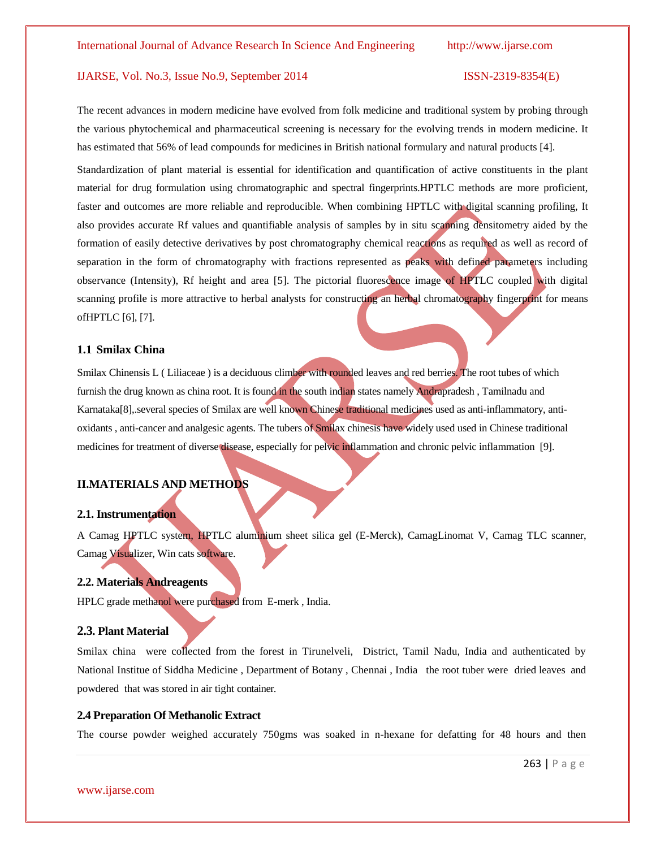The recent advances in modern medicine have evolved from folk medicine and traditional system by probing through the various phytochemical and pharmaceutical screening is necessary for the evolving trends in modern medicine. It has estimated that 56% of lead compounds for medicines in British national formulary and natural products [4].

Standardization of plant material is essential for identification and quantification of active constituents in the plant material for drug formulation using chromatographic and spectral fingerprints.HPTLC methods are more proficient, faster and outcomes are more reliable and reproducible. When combining HPTLC with digital scanning profiling, It also provides accurate Rf values and quantifiable analysis of samples by in situ scanning densitometry aided by the formation of easily detective derivatives by post chromatography chemical reactions as required as well as record of separation in the form of chromatography with fractions represented as peaks with defined parameters including observance (Intensity), Rf height and area [5]. The pictorial fluorescence image of HPTLC coupled with digital scanning profile is more attractive to herbal analysts for constructing an herbal chromatography fingerprint for means ofHPTLC [6], [7].

### **1.1 Smilax China**

Smilax Chinensis L ( Liliaceae ) is a deciduous climber with rounded leaves and red berries. The root tubes of which furnish the drug known as china root. It is found in the south indian states namely Andrapradesh , Tamilnadu and Karnataka[8],.several species of Smilax are well known Chinese traditional medicines used as anti-inflammatory, antioxidants , anti-cancer and analgesic agents. The tubers of Smilax chinesis have widely used used in Chinese traditional medicines for treatment of diverse disease, especially for pelvic inflammation and chronic pelvic inflammation [9].

### **II.MATERIALS AND METHODS**

### **2.1. Instrumentation**

A Camag HPTLC system, HPTLC aluminium sheet silica gel (E-Merck), CamagLinomat V, Camag TLC scanner, Camag Visualizer, Win cats software.

### **2.2. Materials Andreagents**

HPLC grade methanol were purchased from E-merk , India.

### **2.3. Plant Material**

Smilax china were collected from the forest in Tirunelveli, District, Tamil Nadu, India and authenticated by National Institue of Siddha Medicine , Department of Botany , Chennai , India the root tuber were dried leaves and powdered that was stored in air tight container.

### **2.4 Preparation Of Methanolic Extract**

The course powder weighed accurately 750gms was soaked in n-hexane for defatting for 48 hours and then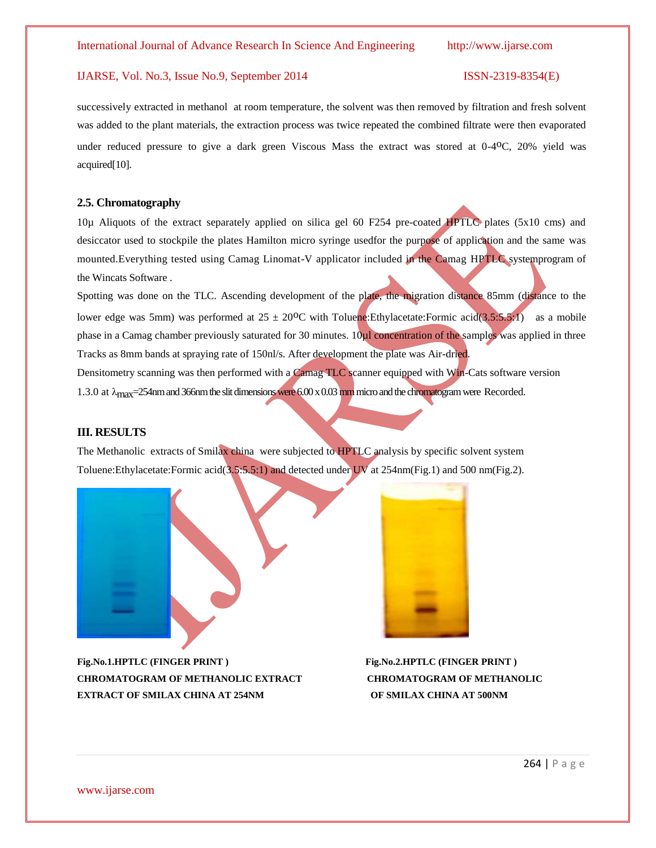successively extracted in methanol at room temperature, the solvent was then removed by filtration and fresh solvent was added to the plant materials, the extraction process was twice repeated the combined filtrate were then evaporated under reduced pressure to give a dark green Viscous Mass the extract was stored at 0-4<sup>o</sup>C, 20% yield was acquired[10].

### **2.5. Chromatography**

10µ Aliquots of the extract separately applied on silica gel 60 F254 pre-coated HPTLC plates (5x10 cms) and desiccator used to stockpile the plates Hamilton micro syringe usedfor the purpose of application and the same was mounted.Everything tested using Camag Linomat-V applicator included in the Camag HPTLC systemprogram of the Wincats Software .

Spotting was done on the TLC. Ascending development of the plate, the migration distance 85mm (distance to the lower edge was 5mm) was performed at  $25 \pm 20^{\circ}\text{C}$  with Toluene: Ethylacetate: Formic acid(3.5:5.5:1) as a mobile phase in a Camag chamber previously saturated for 30 minutes. 10<sub>ul</sub> concentration of the samples was applied in three Tracks as 8mm bands at spraying rate of 150nl/s. After development the plate was Air-dried. Densitometry scanning was then performed with a Camag TLC scanner equipped with Win-Cats software version 1.3.0 at  $\lambda_{\text{max}}$ =254nm and 366nm the slit dimensions were 6.00 x 0.03 mm micro and the chromatogram were Recorded.

### **III. RESULTS**

The Methanolic extracts of Smilax china were subjected to HPTLC analysis by specific solvent system Toluene:Ethylacetate:Formic acid(3.5:5.5:1) and detected under UV at 254nm(Fig.1) and 500 nm(Fig.2).



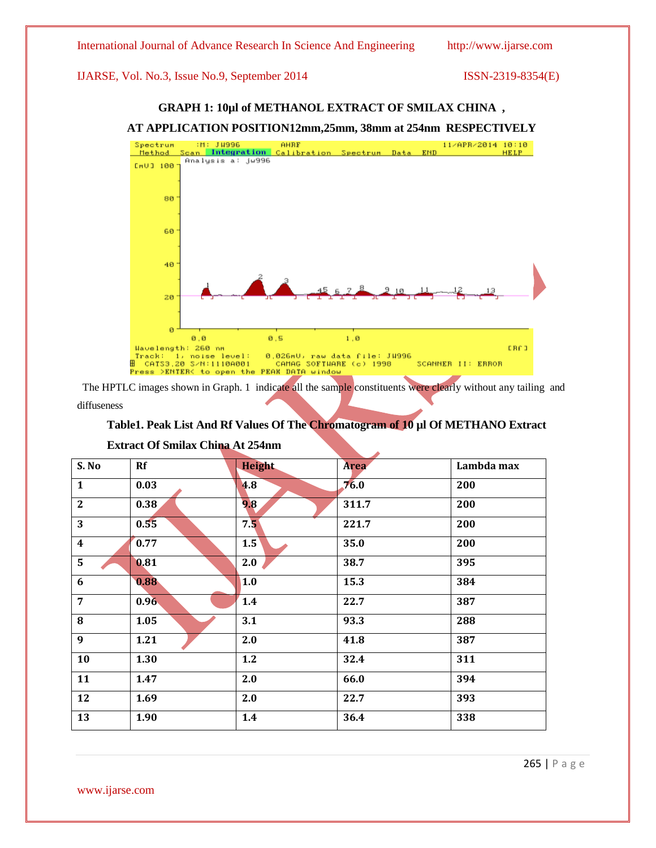### **AT APPLICATION POSITION12mm,25mm, 38mm at 254nm RESPECTIVELY** H: Ju996 AHRF<br>Scan Integration Calibration Spectrum Data END Spectrum 11/APR/2014 10:10 Method HELP Analysis a: jw996  $mU1100$  $80$ 60 40 20 ø  $0,0$  $0,5$  $1$  ,  $\Theta$ Wavelength: 260 nm ER£0 Track: 1, noise level: 0,026mU, raw data file: JH996<br>H CATS3.20 S/N:1110A001 - CAMAG SOFTHARE (c) 1998<br>Press >ENTER< to open the PEAK DATA window SCANNER II: ERROR

**GRAPH 1: 10µl of METHANOL EXTRACT OF SMILAX CHINA ,**

 The HPTLC images shown in Graph. 1 indicate all the sample constituents were clearly without any tailing and diffuseness

### **Table1. Peak List And Rf Values Of The Chromatogram of 10 µl Of METHANO Extract**

| S.No             | Rf   | <b>Height</b> | <b>Area</b> | Lambda max |
|------------------|------|---------------|-------------|------------|
|                  |      |               |             |            |
| $\mathbf{1}$     | 0.03 | 4.8           | 76.0        | 200        |
| $\boldsymbol{2}$ | 0.38 | 9.8           | 311.7       | 200        |
| 3                | 0.55 | 7.5           | 221.7       | 200        |
| $\boldsymbol{4}$ | 0.77 | 1.5           | 35.0        | 200        |
| 5                | 0.81 | 2.0           | 38.7        | 395        |
| $\boldsymbol{6}$ | 0.88 | 1.0           | 15.3        | 384        |
| 7                | 0.96 | 1.4           | 22.7        | 387        |
| $\bf{8}$         | 1.05 | 3.1           | 93.3        | 288        |
| $\boldsymbol{9}$ | 1.21 | 2.0           | 41.8        | 387        |
| 10               | 1.30 | 1.2           | 32.4        | 311        |
| 11               | 1.47 | 2.0           | 66.0        | 394        |
| 12               | 1.69 | 2.0           | 22.7        | 393        |
| 13               | 1.90 | 1.4           | 36.4        | 338        |

### **Extract Of Smilax China At 254nm**

www.ijarse.com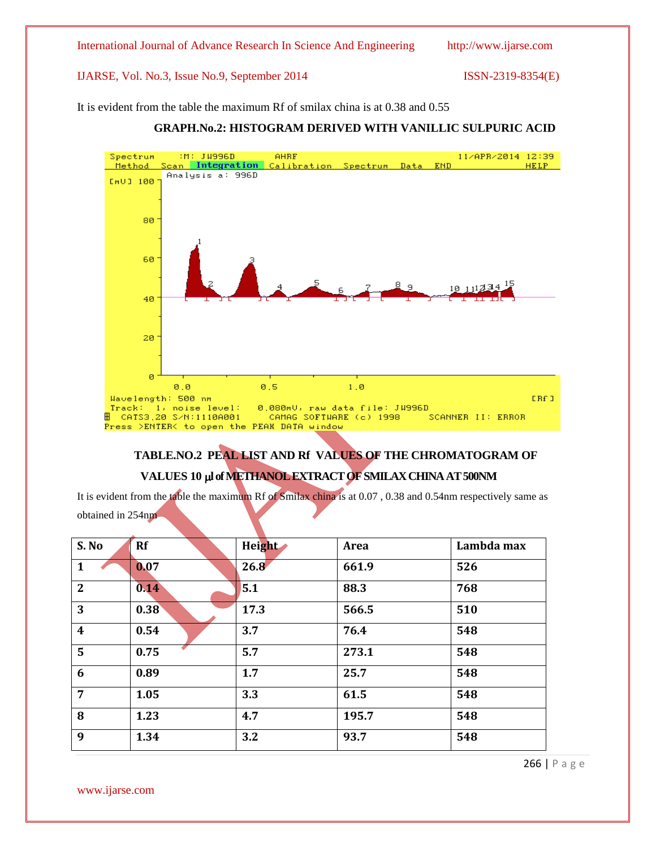It is evident from the table the maximum Rf of smilax china is at 0.38 and 0.55

### Spectrum :M: JW996D AHRE 11/APR/2014 12:39 END Scan Integration Calibration Spectrum Data Method **HELP** Analysis a: 996D  $mU1100$ 80 60 40 20 ø  $0, 0$  $0,5$  $1, 0$ Wavelength: 500 nm ERf I Track: 1, noise level: 0.080mU, raw data file: JW996D ∰ САТS3,20 S∠N:1110А001 CAMAG SOFTWARE (c) 1998 SCANNER II: ERROR Press >ENTER< to open the PEAK DATA window

## **GRAPH.No.2: HISTOGRAM DERIVED WITH VANILLIC SULPURIC ACID**

# **TABLE.NO.2 PEAL LIST AND Rf VALUES OF THE CHROMATOGRAM OF VALUES 10 l of METHANOL EXTRACT OF SMILAX CHINA AT 500NM**

It is evident from the table the maximum Rf of Smilax china is at 0.07 , 0.38 and 0.54nm respectively same as obtained in 254nm

| S. No                   | <b>Rf</b> | Height | <b>Area</b> | Lambda max |
|-------------------------|-----------|--------|-------------|------------|
| 1                       | 0.07      | 26.8   | 661.9       | 526        |
| $\mathbf{2}$            | 0.14      | 5.1    | 88.3        | 768        |
| 3                       | 0.38      | 17.3   | 566.5       | 510        |
| $\overline{\mathbf{4}}$ | 0.54      | 3.7    | 76.4        | 548        |
| 5                       | 0.75      | 5.7    | 273.1       | 548        |
| 6                       | 0.89      | 1.7    | 25.7        | 548        |
| $\overline{7}$          | 1.05      | 3.3    | 61.5        | 548        |
| 8                       | 1.23      | 4.7    | 195.7       | 548        |
| 9                       | 1.34      | 3.2    | 93.7        | 548        |

www.ijarse.com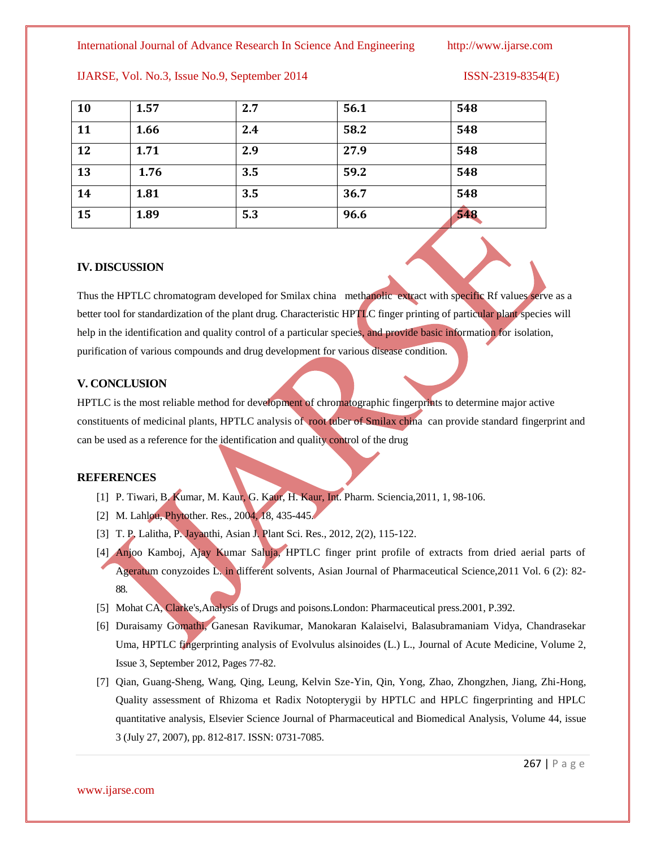International Journal of Advance Research In Science And Engineering http://www.ijarse.com

| <b>10</b> | 1.57 | 2.7 | 56.1 | 548 |
|-----------|------|-----|------|-----|
| 11        | 1.66 | 2.4 | 58.2 | 548 |
| 12        | 1.71 | 2.9 | 27.9 | 548 |
| 13        | 1.76 | 3.5 | 59.2 | 548 |
| 14        | 1.81 | 3.5 | 36.7 | 548 |
| 15        | 1.89 | 5.3 | 96.6 | 548 |

### IJARSE, Vol. No.3, Issue No.9, September 2014 ISSN-2319-8354(E)

### **IV. DISCUSSION**

Thus the HPTLC chromatogram developed for Smilax china methanolic extract with specific Rf values serve as a better tool for standardization of the plant drug. Characteristic HPTLC finger printing of particular plant species will help in the identification and quality control of a particular species, and provide basic information for isolation, purification of various compounds and drug development for various disease condition.

### **V. CONCLUSION**

HPTLC is the most reliable method for development of chromatographic fingerprints to determine major active constituents of medicinal plants, HPTLC analysis of root tuber of Smilax china can provide standard fingerprint and can be used as a reference for the identification and quality control of the drug

### **REFERENCES**

- [1] P. Tiwari, B. Kumar, M. Kaur, G. Kaur, H. Kaur, Int. Pharm. Sciencia,2011, 1, 98-106.
- [2] M. Lahlou, Phytother. Res., 2004, 18, 435-445.
- [3] T. P. Lalitha, P. Jayanthi, Asian J. Plant Sci. Res., 2012, 2(2), 115-122.
- [4] Anjoo Kamboj, Ajay Kumar Saluja, HPTLC finger print profile of extracts from dried aerial parts of Ageratum conyzoides L. in different solvents, Asian Journal of Pharmaceutical Science,2011 Vol. 6 (2): 82- 88.
- [5] Mohat CA, Clarke's,Analysis of Drugs and poisons.London: Pharmaceutical press.2001, P.392.
- [6] Duraisamy Gomathi, Ganesan Ravikumar, Manokaran Kalaiselvi, Balasubramaniam Vidya, Chandrasekar Uma, HPTLC fingerprinting analysis of Evolvulus alsinoides (L.) L., Journal of Acute Medicine, Volume 2, Issue 3, September 2012, Pages 77-82.
- [7] Qian, Guang-Sheng, Wang, Qing, Leung, Kelvin Sze-Yin, Qin, Yong, Zhao, Zhongzhen, Jiang, Zhi-Hong, Quality assessment of Rhizoma et Radix Notopterygii by HPTLC and HPLC fingerprinting and HPLC quantitative analysis, Elsevier Science Journal of Pharmaceutical and Biomedical Analysis, Volume 44, issue 3 (July 27, 2007), pp. 812-817. ISSN: 0731-7085.